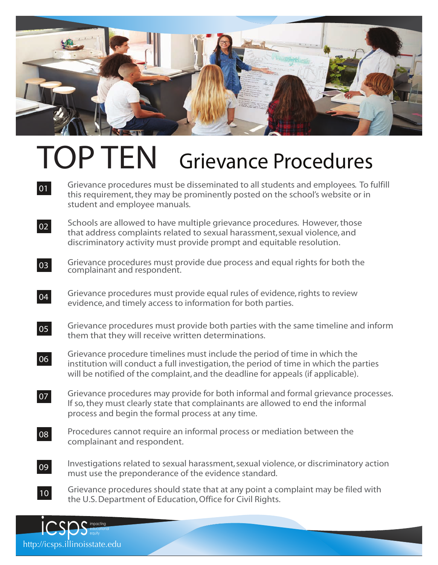

## TOP TEN Grievance Procedures

- Grievance procedures must be disseminated to all students and employees. To fulfill this requirement, they may be prominently posted on the school's website or in student and employee manuals. **01**
- Schools are allowed to have multiple grievance procedures. However, those that address complaints related to sexual harassment, sexual violence, and discriminatory activity must provide prompt and equitable resolution. **02**
- Grievance procedures must provide due process and equal rights for both the complainant and respondent. **03**
- Grievance procedures must provide equal rules of evidence, rights to review evidence, and timely access to information for both parties. **04**
- Grievance procedures must provide both parties with the same timeline and inform them that they will receive written determinations. **05**
- Grievance procedure timelines must include the period of time in which the institution will conduct a full investigation, the period of time in which the parties will be notified of the complaint, and the deadline for appeals (if applicable). **06**
- Grievance procedures may provide for both informal and formal grievance processes.<br>If so, they must clearly state that complainants are allowed to end the informal If so, they must clearly state that complainants are allowed to end the informal process and begin the formal process at any time. **07**
- Procedures cannot require an informal process or mediation between the complainant and respondent. **08**
- Investigations related to sexual harassment, sexual violence, or discriminatory action<br>must use the preponderance of the evidence standard. must use the preponderance of the evidence standard. **09**
- $\Omega$  Grievance procedures should state that at any point a complaint may be filed with the U.S. Department of Education, Office for Civil Rights. **10**

ICSOS detucation educational equity http://icsps.illinoisstate.edu